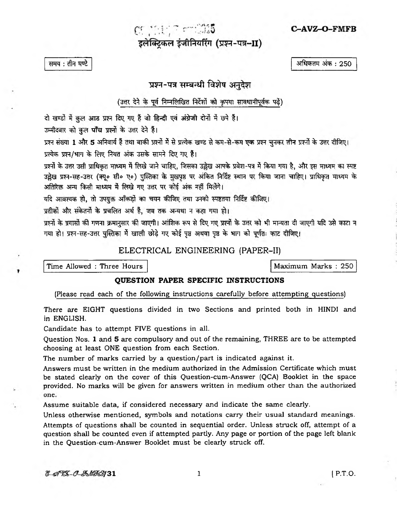C-AVZ-O-FMFB

# इलेक्टिकल इंजीनियरिंग (प्रश्न-पत्र-II)

समय : तीन घण्टे

अधिकतम अंक : 250

## प्रश्न-पत्र सम्बन्धी विशेष अनुदेश

(उत्तर देने के पूर्व निम्नलिखित निर्देशों को कृपया सावधानीपूर्वक पढ़ें)

दो खण्डों में कुल आठ प्रश्न दिए गए हैं जो हिन्दी एवं अंग्रेजी दोनों में छपे हैं।

उम्मीदवार को कुल पाँच प्रश्नों के उत्तर देने हैं।

प्रश्न संख्या 1 और 5 अनिवार्य हैं तथा बाकी प्रश्नों में से प्रत्येक खण्ड से कम-से-कम एक प्रश्न चुनकर तीन प्रश्नों के उत्तर दीजिए। प्रत्येक प्रश्न/भाग के लिए नियत अंक उसके सामने दिए गए हैं।

प्रश्नों के उत्तर उसी प्राधिकृत माध्यम में लिखे जाने चाहिए, जिसका उल्लेख आपके प्रवेश-पत्र में किया गया है, और इस माध्यम का स्पष्ट उल्लेख प्रश्न-सह-उत्तर (क्यू० सी० ए०) पुस्तिका के मुखपृष्ठ पर अंकित निर्दिष्ट स्थान पर किया जाना चाहिए। प्राधिकृत माध्यम के अतिरिक्त अन्य किसी माध्यम में लिखे गए उत्तर पर कोई अंक नहीं मिलेंगे।

यदि आवश्यक हो, तो उपयुक्त आँकड़ों का चयन कीजिए तथा उनको स्पष्टतया निर्दिष्ट कीजिए।

प्रतीकों और संकेतनों के प्रचलित अर्थ हैं, जब तक अन्यथा न कहा गया हो।

प्रश्नों के प्रयासों की गणना क्रमानुसार की जाएगी। आंशिक रूप से दिए गए प्रश्नों के उत्तर को भी मान्यता दी जाएगी यदि उसे काटा न गया हो। प्रश्न-सह-उत्तर पुस्तिका में खाली छोड़े गए कोई पृष्ठ अथवा पृष्ठ के भाग को पूर्णतः काट दीजिए।

### ELECTRICAL ENGINEERING (PAPER-II)

Time Allowed : Three Hours | Naximum Marks : 250

#### **QUESTION PAPER SPECIFIC INSTRUCTIONS**

(Please read each of the following instructions carefully before attempting questions)

There are EIGHT questions divided in two Sections and printed both in HINDI and in ENGLISH.

Candidate has to attempt FIVE questions in all.

Question Nos. 1 and 5 are compulsory and out of the remaining, THREE are to be attempted choosing at least ONE question from each Section.

The number of marks carried by a question/part is indicated against it.

Answers must be written in the medium authorized in the Admission Certificate which must be stated clearly on the cover of this Question-cum-Answer (QCA) Booklet in the space provided. No marks will be given for answers written in medium other than the authorized one.

Assume suitable data, if considered necessary and indicate the same clearly.

Unless otherwise mentioned, symbols and notations carry their usual standard meanings. Attempts of questions shall be counted in sequential order. Unless struck off, attempt of a question shall be counted even if attempted partly. Any page or portion of the page left blank in the Question-cum-Answer Booklet must be clearly struck off.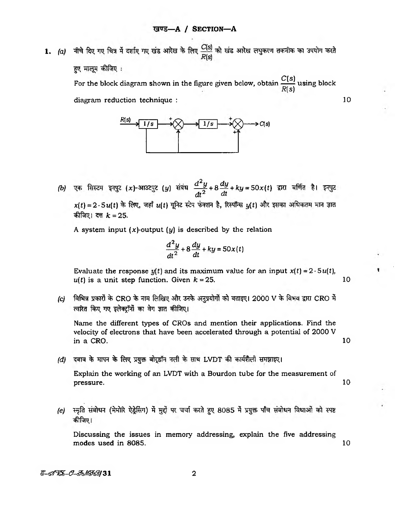1. *(a)* नीचे दिए गए चित्र में दर्शाए गए खंड आरेख के लिए  $\frac{C(s)}{R(s)}$  को खंड आरेख लघुकरण तकनीक का उपयोग करते हुए मालूम कीजिए :

For the block diagram shown in the figure given below, obtain  $\frac{C(s)}{R(s)}$  using block diagram reduction technique : 10



2 *(b)* एक सिस्टम इनपुट (x)-आउटपुट (y) सबध <del>^ ४ +</del> 8 <del>^ +</del> + ky = 50x(t) द्वारा वर्णित है। *dt2 dt*  $x(t) = 2.5u(t)$  के लिए, जहाँ  $u(t)$  यूनिट स्टेप फंक्शन है, रिस्पॉन्स  $y(t)$  और इसका अधिकतम मान ज्ञात कीजिए। दत्त  $k = 25$ .

A system input  $(x)$ -output  $(y)$  is described by the relation

$$
\frac{d^2y}{dt^2} + 8\frac{dy}{dt} + ky = 50x(t)
$$

Evaluate the response  $y(t)$  and its maximum value for an input  $x(t) = 2 \cdot 5 u(t)$ ,  $u(t)$  is a unit step function. Given  $k = 25$ . 10

*(c)* विभिन्न प्रकारों के CRO के नाम लिखिए और उनके अनुप्रयोगों को बताइए। 2000 V के विभव द्वारा CRO में *त्वरित किए गए इलेक्टॉनों का वेग ज्ञात कीजिए।* 

Name the different types of CROs and mention their applications. Find the velocity of electrons that have been accelerated through a potential of 2000 V in a CRO.  $10$ 

*(d)* दबाव के मापन के लिए प्रयुक्त बोरडॉन नली के साथ LVDT की कार्यशैली समझाइए।

Explain the working of an LVDT with a Bourdon tube for the measurement of pressure. The contract of the contract of the contract of the contract of the contract of the contract of the contract of the contract of the contract of the contract of the contract of the contract of the contract of the

*(e)* स्मृति संबोधन (मेमोरि ऐड्रेसिंग) में मुद्दों पर चर्चा करते हुए 8085 में प्रयुक्त पाँच संबोधन विधाओं को स्पष्ट कीजिए।

Discussing the issues in memory addressing, explain the five addressing modes used in 8085. 10

*w -or m -0 -3 M361* 31 2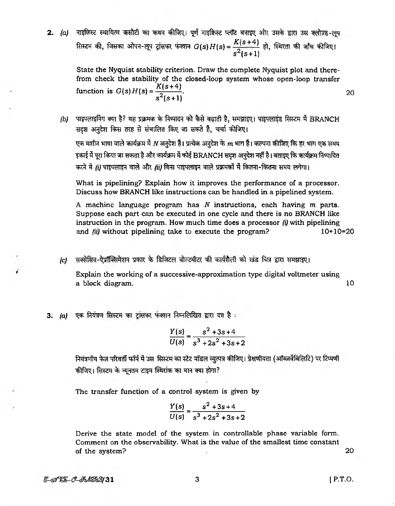2. (a) नाइकिस्ट स्थायित्व कसौटी का कथन कीजिए। पूर्ण नाइकिस्ट प्लॉट बनाइए और उसके द्वारा उस क्लोज़्ड-लुप सिस्टम की, जिसका ओपन-लूप ट्रांसफर फंक्शन  $G(s)H(s) = \frac{2500+77}{2}$  हो, स्थिरता की जाँच कीजिए। s"(s+1)

> State the Nyquist stability criterion. Draw the complete Nyquist plot and therefrom check the stability of the closed-loop system whose open-loop transfer *function is*  $G(s)H(s) = \frac{K(s+4)}{2}$ *. 20 s* (s + 1)

*(b)* पाइपलाइनिंग क्या है? यह प्रक्रमक के निष्पादन को कैसे बढ़ाती है, समझाइए। पाइपलाइंड सिस्टम में BRANCH सदृश अनुदेश किस तरह से संचालित किए जा सकते हैं, चर्चा कीजिए।

एक मशीन भाषा वाले कार्यक्रम में N अनुदेश हैं। प्रत्येक अनुदेश के m भाग हैं। कल्पना कीजिए कि हर भाग एक समय इकाई में पूरा किया जा सकता है और कार्यक्रम में कोई BRANCH सदृश अनुदेश नहीं है। बताइए कि कार्यक्रम निष्पादित करने में *(i)* पाइपलाइन वाले और *(ii)* बिना पाइपलाइन वाले प्रक्रमकों में कितना-कितना समय लगेगा।

What is pipelining? Explain how it improves the performance of a processor. Discuss how BRANCH like instructions can be handled in a pipelined system.

A machine language program has *N* instructions, each having *m* parts. Suppose each part can be executed in one cycle and there is no BRANCH like instruction in the program. How much time does a processor *(i)* with pipelining and *(ii)* without pipelining take to execute the program? 10+10=20

*(c)* सक्सेसिव-ऐप्रॉक्सिमेशन प्रकार के डिजिटल वोल्टमीटर की कार्यशैली को खंड चित्र द्वारा समझाइए।

Explain the working of a successive-approximation type digital voltmeter using a block diagram. 10

3. (a) एक नियंत्रण सिस्टम का ट्रांसफर फंक्शन निम्नलिखित द्वारा दत्त है:

$$
\frac{Y(s)}{U(s)} = \frac{s^2 + 3s + 4}{s^3 + 2s^2 + 3s + 2}
$$

नियंत्रणीय फेज़ परिवर्ती फॉर्म में उस सिस्टम का स्टेट मॉडल व्युत्पन्न कीजिए। प्रेक्षणीयता (ऑब्ज़र्वेबिलिटि) पर टिप्पणी कीजिए। सिस्टम के न्यूनतम टाइम स्थिरांक का मान क्या होगा?

The transfer function of a control system is given by

$$
\frac{Y(s)}{U(s)} = \frac{s^2 + 3s + 4}{s^3 + 2s^2 + 3s + 2}
$$

Derive the state model of the system in controllable phase variable form. Comment on the observability. What is the value of the smallest time constant of the system? 20

 $3$  [ P.T.O.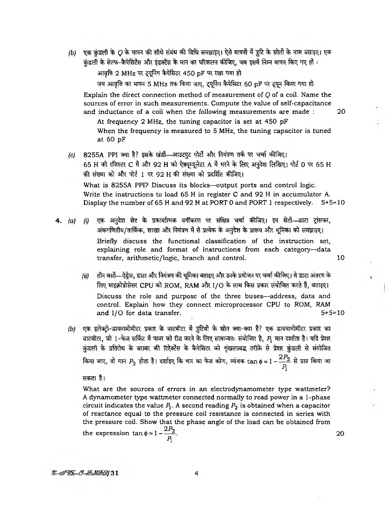*(b)* एक कंडली के *O* के मापन की सीधे संबंध की विधि समझाइए। ऐसे मापनों में त्रुटि के स्रोतों के नाम बताइए। एक कंडली के सेल्फ-कैपेसिटेंस और इंडक्टेंस के मान का परिकलन कीजिए, जब इसमें निम्न मापन किए गए हों :

आवृत्ति 2 MHz पर ट्यूनिंग कैपेसिटर 450 pF पर रखा गया हो

जब आवृत्ति का मापन 5 MHz तक किया जाए, ट्यूनिंग कैपेसिटर 60 pF पर ट्यून किया गया हो

Explain the direct connection method of measurement of *Q* of a coil. Name the sources of error in such measurements. Compute the value of self-capacitance and inductance of a coil when the following measurements are made : 20

At frequency 2 MHz, the tuning capacitor is set at 450 pF When the frequency is measured to 5 MHz, the tuning capacitor is tuned at 60 pF

- *(c)* 8255A PPI क्या है? इसके खंडों—आउटपुट पोर्टों और नियंत्रण तर्क पर चर्चा कीजिए। 65 H को रजिस्टर C में और 92 H को ऐक्यूम्यूलेटर A में भरने के लिए अनुदेश लिखिए। पोर्ट 0 पर 65 H की संख्या को और पोर्ट 1 पर 92 H की संख्या को प्रदर्शित कीजिए। What is 8255A PPI? Discuss its blocks—output ports and control logic. Write the instructions to load 65 H in register C and 92 H in accumulator A. Display the number of 65 H and 92 H at PORT 0 and PORT 1 respectively. 5+5=10
- 4. (a) (i) एक अनुदेश सेट के प्रकार्यात्मक वर्गीकरण पर संक्षिप्त चर्चा कीजिए। इन सेटों-डाटा ट्रांसफर, अंकगणितीय/तार्किक, शाखा और नियंत्रण में से प्रत्येक के अनुदेश के प्रारूप और भूमिका को समझाइए। Briefly discuss the functional classification of the instruction set, explaining role and format of instructions from each category—data transfer, arithmetic/logic, branch and control. 10
	- *(ü)* तीन बसों—ऐडेस, डाटा और नियंत्रण की भूमिका बताइए और उनके प्रयोजन पर चर्चा कीजिए। ये डाटा अंतरण के लिए माइक्रोप्रोसेसर CPU को ROM, RAM और I/O के साथ किस प्रकार संयोजित करते हैं, बताइए। Discuss the role and purpose of the three buses—address, data and control. Explain how they connect microprocessor CPU to ROM, RAM and I/O for data transfer. 5+5=10
	- *(b)* एक इलेक्ट्रो-डायनामोमीटर प्रकार के वाटमीटर में त्रुटियों के स्रोत क्या-क्या हैं? एक डायनामोमीटर प्रकार का वाटमीटर, जो 1-फेज़ सर्किट में पावर को रीड करने के लिए सामान्यतः संयोजित है, P मान दर्शाता है। यदि प्रेशर कुंडली के प्रतिरोध के बराबर की रिऐक्टेंस के कैपेसिटर को शृंखलाबद्ध तरीके से प्रेशर कुंडली से संयोजित किया जाए, तो मान  $P_2$  होता है। दर्शाइए कि भार का फेज़ कोण, व्यंजक tan  $\phi = 1 - \frac{2P_2}{P_1}$  से प्राप्त किया जा

सकता है।

What are the sources of errors in an electrodynamometer type wattmeter? A dynamometer type wattmeter connected normally to read power in a 1-phase circuit indicates the value  $P_1$ . A second reading  $P_2$  is obtained when a capacitor of reactance equal to the pressure coil resistance is connected in series with the pressure coil. Show that the phase angle of the load can be obtained from the expression tan  $\phi = 1 - \frac{2P_2}{P}$ . 20 *pi*

& # 755-0-FMF8131

4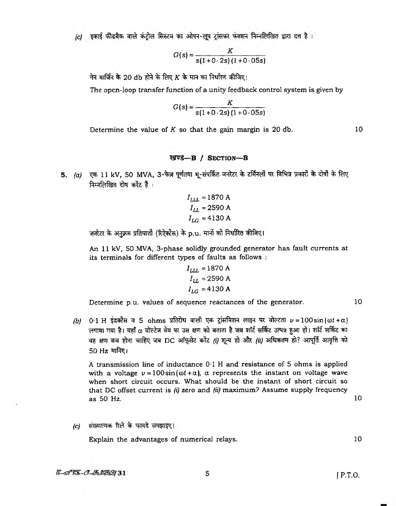(c) इकाई फीडबैक वाले कंट्रोल सिस्टम का ओपन-लूप ट्रांसफर फंक्शन निम्नलिखित द्वारा दत्त है:

$$
G(s) = \frac{K}{s(1+0.2s)(1+0.05s)}
$$

 $\eta$ ने मार्जिन के 20 db होने के लिए K के मान का निर्धारण कीजिए।

The open-loop transfer function of a unity feedback control system is given by

$$
G(s) = \frac{K}{s(1+0.2s)(1+0.05s)}
$$

Determine the value of *K* so that the gain margin is 20 db. 10

#### खण्ड-B / SECTION-B

5. (a) एक 11 kV, 50 MVA, 3-फेज़ पूर्णतया भू-संपर्कित जनरेटर के टर्मिनलों पर विभिन्न प्रकारों के दोषों के लिए निम्नलिखित दोष करेंट हैं:

$$
I_{LLL} = 1870 \text{ A}
$$

$$
I_{LL} = 2590 \text{ A}
$$

$$
I_{LG} = 4130 \text{ A}
$$

जनरेटर के अनुक्रम प्रतिघातों (रिऐक्टेंस) के p.u. मानों को निर्धारित कीजिए।

An 11 kV, 50 MVA, 3-phase solidly grounded generator has fault currents at its terminals for different types of faults as follows :

$$
I_{LLL} = 1870 \text{ A}
$$
  

$$
I_{LL} = 2590 \text{ A}
$$
  

$$
I_{LG} = 4130 \text{ A}
$$

Determine p.u. values of sequence reactances of the generator. 10

*(b)* 0.1 H  $\bar{s}$  sat  $\bar{c}$  a 5 ohms प्रतिरोध वाली एक ट्रांसमिशन लाइन पर वोल्टता  $\nu = 100\sin{(\omega t + \alpha)}$  $\overline{r}$ लगाया गया है। यहाँ α वोल्टेज वेव पर उस क्षण को बताता है जब शॉर्ट सर्किट उत्पन्न हुआ हो। शॉर्ट सर्किट का वह क्षण कब होना चाहिए जब DC ऑफ़सेट करेंट (i) शून्य हो और (ii) अधिकतम हो? आपूर्ति आवृत्ति को  $50$  Hz मानिए।

A transmission line of inductance 01 H and resistance of 5 ohms is applied with a voltage  $v = 100 \sin(\omega t + \alpha)$ ,  $\alpha$  represents the instant on voltage wave when short circuit occurs. What should be the instant of short circuit so that DC offset current is *(i)* zero and *(ii)* maximum? Assume supply frequency as 50 Hz.  $\overline{10}$ 

*(c)* संख्यात्मक रिले के फायदे समझाइए।

Explain the advantages of numerical relays. 10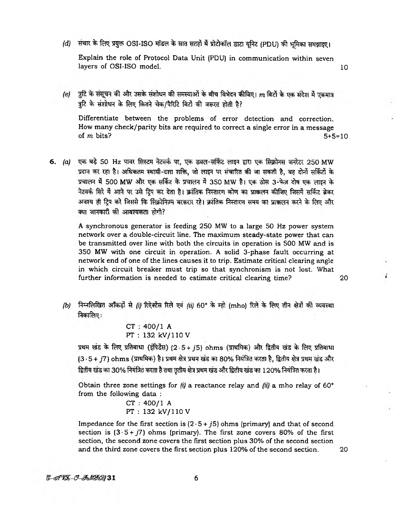*(d)* संचार के लिए प्रयुक्त OSI-ISO मॉडल के सात सतहों में प्रोटोकॉल डाटा यूनिट (PDU) की भूमिका समझाइए।

Explain the role of Protocol Data Unit (PDU) in communication within seven layers of OSI-ISO model. 10

त्रुटि के संसूचन की और उसके संशोधन की समस्याओं के बीच विभेदन कीजिए। m बिटों के एक संदेश में एकमात्र  $(e)$ त्रुटि के संशोधन के लिए कितने चेक/पैरिटि बिटों की जरूरत होती है?

Differentiate between the problems of error detection and correction. How many check/parity bits are required to correct a single error in a message of *m* bits? 5+5=10

**6.** (a) एक बड़े 50 Hz पावर सिस्टम नेटवर्क पर, एक डबल-सर्किट लाइन द्वारा एक सिक्रोनस जनरेटर 250 MW **3TCH** *^KT\$\%\* **^ ^ WftcT \*TT** *Wfrft %,* **^ %** प्रचालन में 500 MW और एक सर्किट के प्रचालन में 350 MW है। एक ठोस 3-फेज़ दोष एक लाइन के नेटवर्क सिरे में आने पर उसे ट्रिप कर देता है। क्रांतिक निस्तारण कोण का प्राक्कलन कीजिए जिसमें सर्किट ब्रेकर अवश्य ही ट्रिप करे जिससे कि सिक्रोनिज़्म बरकरार रहे। क्रांतिक निस्तारण समय का प्राक्कलन करने के लिए और क्या जानकारी की आवश्यकता होगी?

> A synchronous generator is feeding 250 MW to a large 50 Hz power system network over a double-circuit line. The maximum steady-state power that can be transmitted over line with both the circuits in operation is 500 MW and is 350 MW with one circuit in operation. A solid 3-phase fault occurring at network end of one of the lines causes it to trip. Estimate critical clearing angle in which circuit breaker must trip so that synchronism is not lost. What further information is needed to estimate critical clearing time? 20

*(b)* निम्नलिखित आँकड़ों से *(i)* रिऐक्टेंस रिले एवं *(ii)* 60° के म्हो (mho) रिले के लिए तीन क्षेत्रों की व्यवस्था निकालिए:

> CT : 400/1 A PT : 132 kV/110 V

प्रथम खंड के लिए प्रतिबाधा (इंपिडेंस) (2 · 5 + *j*5) ohms (प्राथमिक) और द्वितीय खंड के लिए प्रतिबाधा (3·5+ *j*7) ohms (प्राथमिक) है। प्रथम क्षेत्र प्रथम खंड का 80% नियंत्रित करता है, द्वितीय क्षेत्र प्रथम खंड और द्वितीय खंड का 30% नियंत्रित करता है तथा तृतीय क्षेत्र प्रथम खंड और द्वितीय खंड का 120% नियंत्रित करता है।

Obtain three zone settings for *(i)* a reactance relay and *(ii)* a mho relay of 60° from the following data :

> CT : 400/1 A PT : 132 kV/110 V

Impedance for the first section is  $(2 \cdot 5 + j5)$  ohms (primary) and that of second section is  $(3.5 + j7)$  ohms (primary). The first zone covers 80% of the first section, the second zone covers the first section plus 30% of the second section and the third zone covers the first section plus 120% of the second section. 20

J

&-AB8-0-FMFB131

6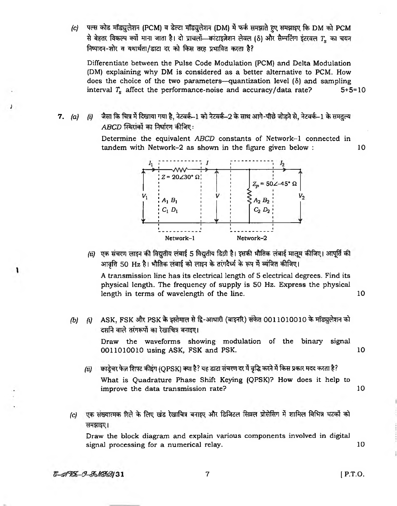*(c)* पल्स कोड मॉड्युलेशन (PCM) व डेल्टा मॉड्युलेशन (DM) में फर्क समझाते हुए समझाइए कि DM को PCM से बेहतर विकल्प क्यों माना जाता है। दो प्राचलों- कांटाइज़ेशन लेवल (8) और सैम्पलिंग इंटरवल T, का चयन निष्पादन-शोर व यथार्थता/डाटा दर को किस तरह प्रभावित करता है?

Differentiate between the Pulse Code Modulation (PCM) and Delta Modulation (DM) explaining why DM is considered as a better alternative to PCM. How does the choice of the two parameters—quantization level  $(\delta)$  and sampling interval  $T_s$  affect the performance-noise and accuracy/data rate?  $5+5=10$ 

7. (a) (i) जैसा कि चित्र में दिखाया गया है, नेटवर्क-1 को नेटवर्क-2 के साथ आगे-पीछे जोड़ने से, नेटवर्क-1 के समतुल्य ABCD स्थिरांकों का निर्धारण कीजिए:

> Determine the equivalent *ABCD* constants of Network-1 connected in tandem with Network-2 as shown in the figure given below : 10



*(ii)* एक संचरण लाइन की विद्युतीय लंबाई 5 विद्युतीय डिग्री है। इसकी भौतिक लंबाई मालूम कीजिए। आपूर्ति की आवृत्ति 50 Hz है। भौतिक लंबाई को लाइन के तरंगदैर्घ्य के रूप में व्यंजित कीजिए।

A transmission line has its electrical length of 5 electrical degrees. Find its physical length. The frequency of supply is 50 Hz. Express the physical length in terms of wavelength of the line. 10

- *(b) (i)* ASK, FSK और PSK के इस्तेमाल से द्वि-आधारी (बाइनरि) संकेत 0011010010 के मॉड्युलेशन को दर्शाने वाले तरंगरूपों का रेखाचित्र बनाइए। Draw the waveforms showing modulation of the binary signal 0011010010 using ASK, FSK and PSK. 10
	- *(ii)* काड़ेचर फेज़ शिफ्ट कीइंग (QPSK) क्या है? यह डाटा संचरण दर में वृद्धि करने में किस प्रकार मदद करता है? What is Quadrature Phase Shift Keying (QPSK)? How does it help to improve the data transmission rate? 10
- *(c)* एक संख्यात्मक रिले के लिए खंड रेखाचित्र बनाइए और डिजिटल सिग्नल प्रोसेसिंग में शामिल विभिन्न घटकों को समझाइए।

Draw the block diagram and explain various components involved in digital signal processing for a numerical relay. 10

ı

7 [ P.T.O.